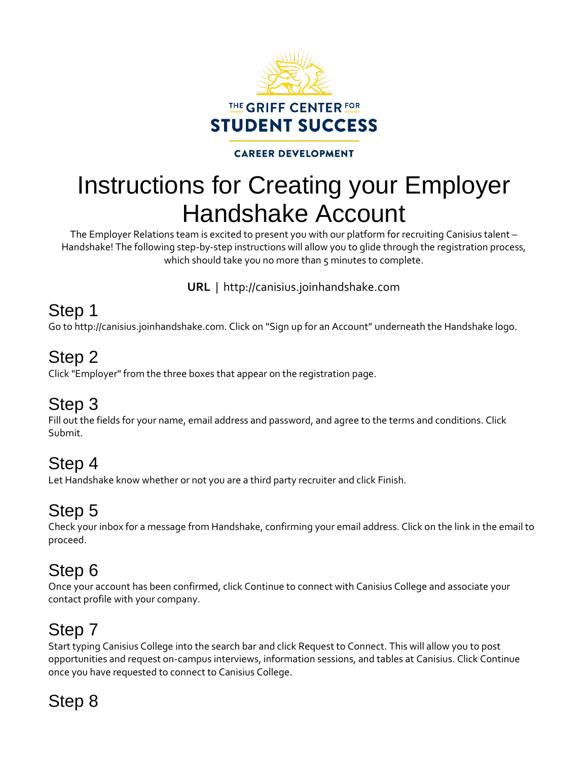

### **CAREER DEVELOPMENT**

# Instructions for Creating your Employer Handshake Account

The Employer Relations team is excited to present you with our platform for recruiting Canisius talent – Handshake! The following step-by-step instructions will allow you to glide through the registration process, which should take you no more than 5 minutes to complete.

**URL** | http://canisius.joinhandshake.com

### Step 1

Go to http://canisius.joinhandshake.com. Click on "Sign up for an Account" underneath the Handshake logo.

### Step 2

Click "Employer" from the three boxes that appear on the registration page.

### Step 3

Fill out the fields for your name, email address and password, and agree to the terms and conditions. Click Submit.

### Step 4

Let Handshake know whether or not you are a third party recruiter and click Finish.

### Step 5

Check your inbox for a message from Handshake, confirming your email address. Click on the link in the email to proceed.

### Step 6

Once your account has been confirmed, click Continue to connect with Canisius College and associate your contact profile with your company.

# Step 7

Start typing Canisius College into the search bar and click Request to Connect. This will allow you to post opportunities and request on-campus interviews, information sessions, and tables at Canisius. Click Continue once you have requested to connect to Canisius College.

# Step 8